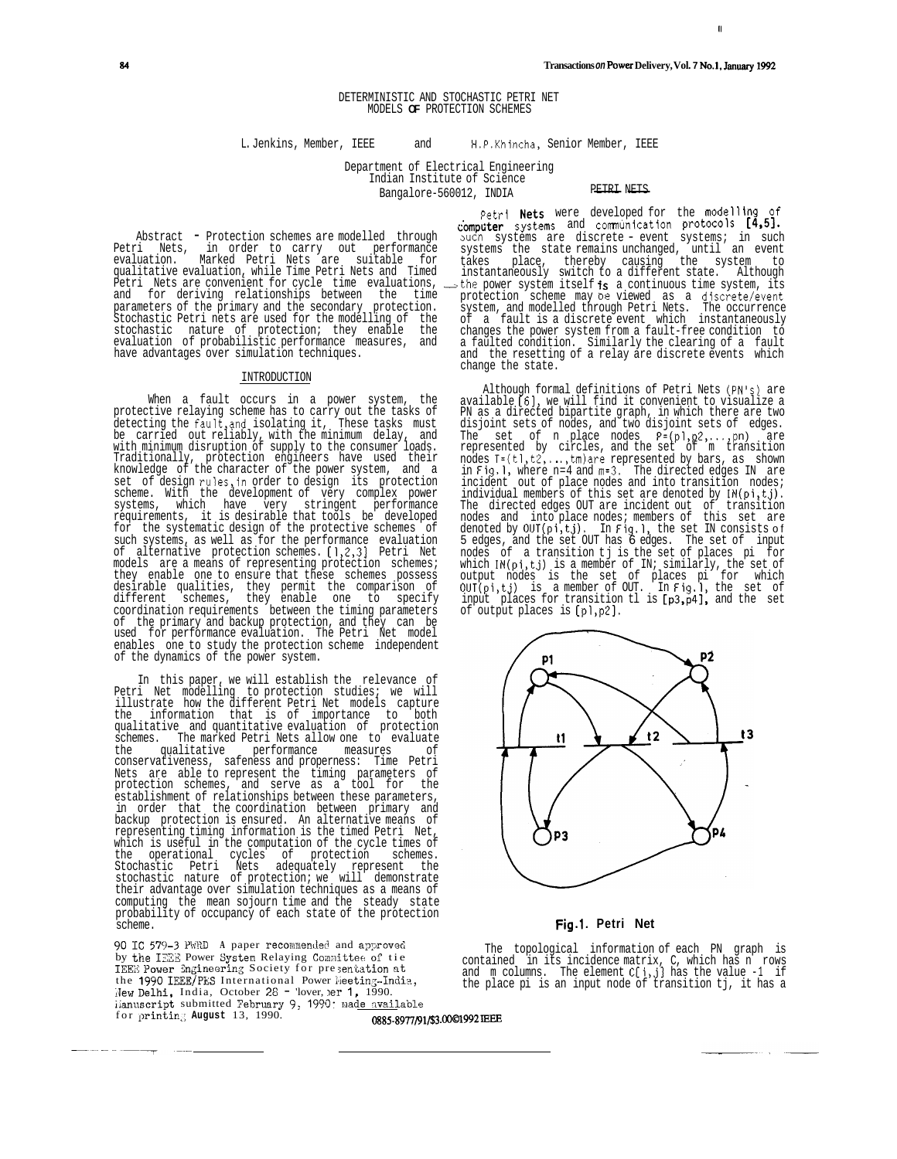$\mathbf{I}$ 

# DETERMINISTIC AND STOCHASTIC PETRI NET MODELS **OF** PROTECTION SCHEMES

L. Jenkins, Member, IEEE and H.P.Khincha, Senior Member, IEEE

Department of Electrical Engineering Indian Institute of Science<br>Bangalore-560012, INDIA PETRI NETS<br>
and H.P.Khincha, Senior Member, IEEE<br>
ment of Electrical Engineering<br>
dian Institute of Science<br>
Bangalore-560012, INDIA Petri Nets<br>
Petri Nets were developed for

Abstract - Protection schemes are modelled through Petri Nets, in order to carry out performance evaluation. Marked Petri Nets are suitable for qualitative evaluation, while Time Petri Nets and Timed Petri Nets are convenient for cycle time evaluations, and for deriving relationships between the time parameters of the primary and the secondary protection. Stochastic Petri nets are used for the modelling of the stochastic nature of protection; they enable the evaluation of probabilistic performance measures, and have advantages over simulation techniques.

### INTRODUCTION

When a fault occurs in a power system, the protective relaying scheme has to carry out the tasks of detecting the fault,and isolating it, These tasks must be carried out reliably, with the minimum delay, and with minimum disruption of supply to the consumer loads. Traditionally, protection engineers have used their knowledge of the character of the power system, and a set of design rules,in order to design its protection scheme. With the development of very complex power systems, which have very stringent performance requirements, it is desirable that tools be developed for the systematic design of the protective schemes of such systems, as well as for the performance evaluation of alternative protection schemes. [1,2,31 Petri Net models are a means of representing protection schemes; they enable one to ensure that these schemes possess desirable qualities, they permit the comparison of different schemes, they enable one to specify coordination requirements between the timing parameters of the primary and backup protection, and they can be used for performance evaluation. The Petri Net model enables one to study the protection scheme independent of the dynamics of the power system.

In this paper, we will establish the relevance of Petri Net modelling to protection studies; we will illustrate how the different Petri Net models capture the information that is of importance to both qualitative and quantitative evaluation of protection schemes. The marked Petri Nets allow one to evaluate the qualitative performance measures of<br>conservativeness, safeness and properness: Time Petri Nets are able to represent the timing parameters of protection schemes, and serve as a tool for the establishment of relationships between these parameters, in order that the coordination between primary and backup protection is ensured. An alternative means of representing timing information is the timed Petri Net, which is useful in the computation of the cycle times of the operational cycles of protection schemes. Stochastic Petri Nets adequately represent the stochastic nature of protection; we will demonstrate their advantage over simulation techniques as a means of computing the mean sojourn time and the steady state probability of occupancy of each state of the protection scheme.

90 IC 579-3 PWRD A paper recommended and approved by the IEEE Power System Relaying Committee of tie IEEE Power Ingineering Society for presentation at the 1990 IEEE/PES International Power Meeting-India, New Delhi, India, October 28 - 'lover,  $er 1$ , 1990. lianuscript submitted February 9, 1990; made available for printing August 13, 1990. **0885-8977/91/\$3.0001992 IEEE** 

petri Nets were developed for the modelling &mpl;ter systems and comnunication protocols **[4~51-**  3ucn systems are discrete - event systems; in such systems the state remains unchanged, until an event takes place, thereby causing the system to instantaneously switch to a different state. Although -the power system itself *is* a continuous time system, its protection scheme may De viewed as a discrete/event system, and modelled through Petri Nets. The occurrence of a fault is a discrete event which instantaneously changes the power system from a fault-free condition to a faulted condition. Similarly the clearing of a fault and the resetting of a relay are discrete events which change the state.

Although formal definitions of Petri Nets (PN's) are available [61, we will find it convenient to visualize a PN as a directed bipartite graph, in which there are two disjoint sets of nodes, and two disjoint sets of edges. The set of n place nodes  $P=(p_1,p_2,...,p_n)$  are represented by circles, and the set of m transition nodes T=(tl,t2,...,tm)are represented by bars, as shown<br>in Fig.1, where n=4 and m=3. The directed edges IN are incident out of place nodes and into transition nodes; individual members of this set are denoted by IN(pi,tj). The directed edges OUT are incident out of transition nodes and into place nodes; members of this set are denoted by OUT(pi,tj). In Fig.1, the set IN consists of 5 edges, and the set OUT has 6 edges. The set of input nodes of a transition tj is the set of places pi for which IN(pi,tj) is a member of IN; similarly, the set of output nodes is the set of places pi for which OUT(pi,tj) is a member of OUT. In Fig.1, the set of input places for transition tl is [p3,p4], and the set of output places is [pl,p2].



# **Fig.1. Petri Net**

The topological information of each PN graph is contained in its incidence matrix, C, which has n rows and m columns. The element C[i,j] has the value -1 if the place pi is an input node of transition tj, it has a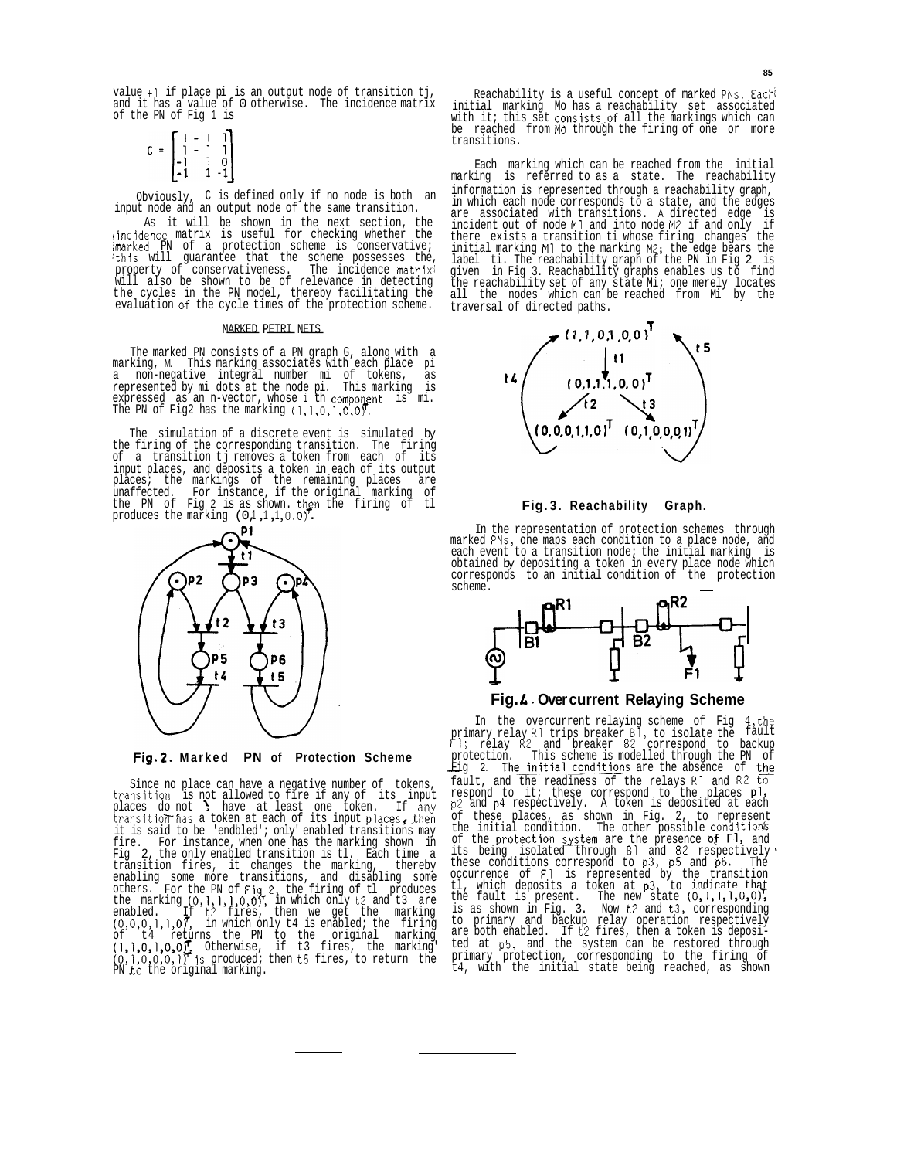value +] if place pi is an output node of transition tj,<br>and it has a value of O otherwise. The incidence matrix of the PN of Fig 1 is

$$
C = \begin{bmatrix} 1 & -1 & 1 \\ 1 & -1 & 1 \\ -1 & 1 & 0 \\ -1 & 1 & -1 \end{bmatrix}
$$

Obviously, C is defined only if no node is both an input node and an output node of the same transition.

As it will be shown in the next section, the incidence matrix is useful for checking whether the imarked PN of a protection scheme is conservative; PN of a protection scheme is conservative; this will guarantee that the scheme possesses the property of conservativeness. The incidence matrix property of conservativeness. will also be shown to be of relevance in detecting the cycles in the PN model, thereby facilitating the evaluation of the cycle times of the protection scheme. is useful for checkir<br>protection scheme is<br>cee that the scheme<br>rvativeness. The in<br>m to be of relevance<br>PN model, thereby fa<br>sycle times of the prot<br>MARKED PETRI NETS<br>MARKED PETRI NETS

### MARKED PETRI NETS

The marked PN consists of a PN graph G, along with a<br>marking, M. This marking associates with each place pi<br>a non-negative integral number mi of tokens, as<br>represented by mi dots at the node pi. This marking is expressed as an n-vector, whose i th component is mi.<br>The PN of Fig2 has the marking (1,1,0,1,0,0).

simulation of a discrete event is simulated by the firing of the corresponding transition. The firing of a transition tj removes a token from each of its input places, and deposits a token in each of its output places; the markings of the remaining places unaffected. For instance, if the original marking the PN of Fig 2 is as shown. thgn the firing of tl produces the marking (0, 1, 1 , 1 *,O.O)* .



## **Fig.2. Marked PN of Protection Scheme**

Since no place can have a negative number of tokens, transition is not allowed to fire if any of its input places do not  $\bullet$  have at least one token. If any transition has a token at each of its input places, then transition has a token at each of its input places, then it is said to be 'endbled'; only' enabled transitions may fire. For instance, when one has the marking shown in Fig 2, the only enabled transition is tl. Each time a transition fires, it changes the marking, thereby enabling some more transitions, and disabling some others. For the PN of Fiq2, the firing of tl produces the marking (O,l,l,l,O,O), in which only t2 and t3 are enabled. If t2 fires, then we get the marking (O,O,O,l,l,O~, in which only t4 is enabled; the firing of t4 returns the PN to the original marking (l,l,O,l~O,O~ Otherwise, if t3 fires, the marking' (O,l,O,O,O,l~is produced; then t5 fires, to return the PN Ro the original marking.

Reachability is a useful concept of marked PNs. Eachi initial marking Mo has a reachability set associated with it; this set consists of all the markings which can be reached from Mo through the firing of one or more transitions.

Each marking which can be reached from the initial marking is referred to as a state. The reachability information is represented through a reachability graph, are associated with transitions. A directed edge is<br>incident out of node Ml and into node M2 if and only if incident out of node M1 and into node M2 if and only there exists a transition ti whose firing changes the initial marking M1 to the marking M2; the edge bears the label ti. The reachability graph of the PN in Fig 2 is given in Fig 3. Reachability graphs enables us to find the reachability set of any state Mi; one merely locates all the nodes which can be reached from Mi by the traversal of directed paths.



### **Fig. 3. Reachability Graph.**

In the representation of protection schemes through marked PNs, one maps each condition to a place node, and each event to a transition node; the initial marking obtained by depositing a token in every place node which corresponds to an initial condition of the protection bookialned by depositing a token in every place no<br>corresponds to an initial condition of the procheme.



In the overcurrent relaying scheme of Fig 4,the primary relay R1 trips breaker 81, to isolate the fault F1; relay R2 and breaker 82 correspond to backup protection. This scheme is modelled through the PN of Fig 2. The initial conditions are the absence of the still the fault, and the readiness of the relays R1 and R2 to respond to it; these correspond to the places ply p2 and p4 respectively. A token is deposited at each of these places, as shown in Fig. 2, to represent the initial condition. The other possible conditionk of the protection system are the presence of F1, and<br>its being isolated through 81 and 82 respectively these conditions correspond to p3, p5 and p6. The occurrence of F1 is represented by the transition tl, which deposits a token at p3, to indicate that<br>the fault is present. The new state  $(0,1,1,1,0,0)$ ,<br>is as shown in Fig. 3. Now t2 and t3, corresponding to primary and backup relay operation respectively are both enabled. If t2 fires, then a token is deposied at p5, and the system can be restored through<br>primary protection, corresponding to the firing of t4, with the initial state being reached, as shown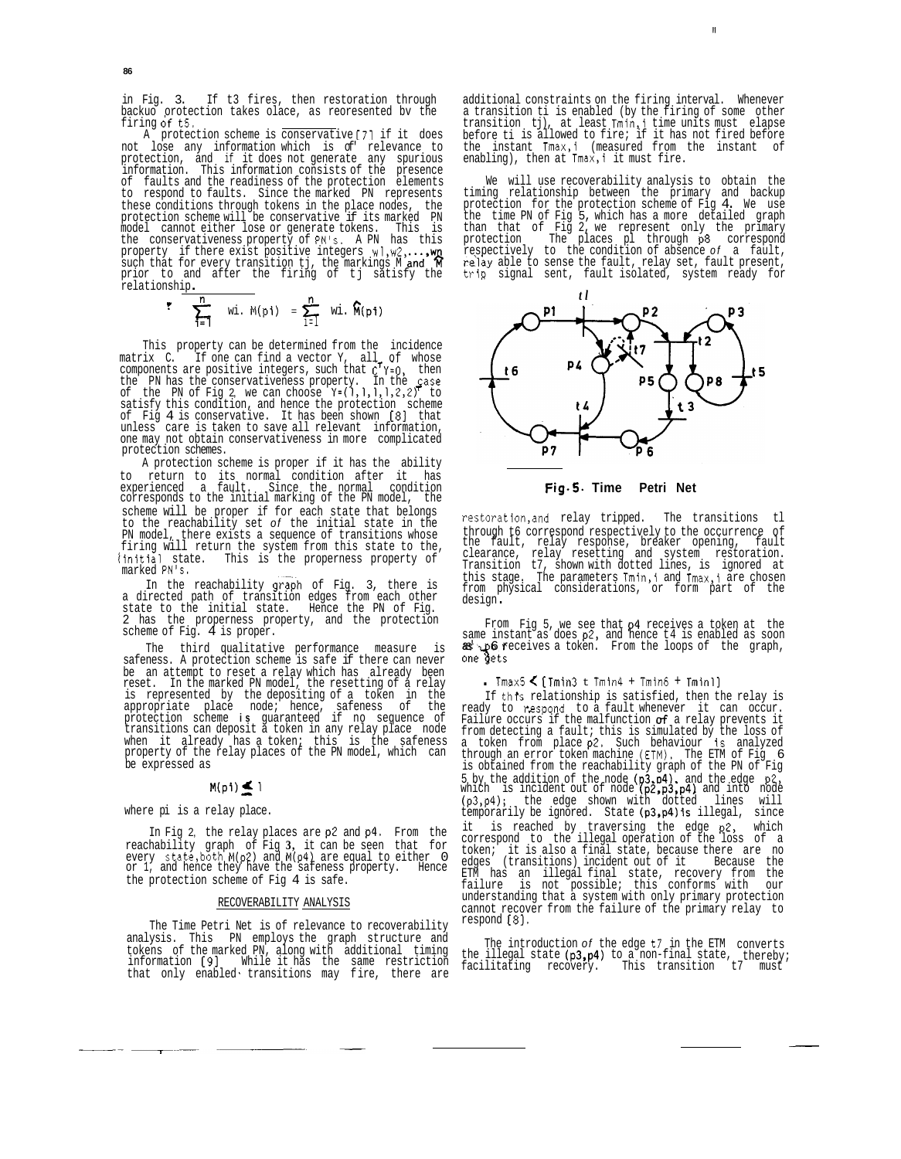in Fig. 3. If t3 fires, then restoration through backuo orotection takes olace, as reoresented bv the firing of t5.

A protection scheme is conservative [7] if it does<br>not lose any information which is  $d'$  relevance to protection, and if it does not generate any spurious information. This information consists of the presence of faults and the readiness of the protection elements to respond to faults. Since the marked PN represents these conditions through tokens in the place nodes, the protection scheme will be conservative if its marked PN model cannot either lose or generate tokens. This is the conservativeness property of PN's. A PN has this property if there exist positive integers wl,w2, such that for every transition tj, the markings M **&Iy?**  prior to and after the firing of tj satisfy the relationship .

$$
\overline{\cdot} \quad \frac{n}{\sum_{i=1}^n \quad \text{wi. } \mathbb{M}(pi) \quad = \sum_{i=1}^n \quad \text{wi. } \widehat{\mathbb{M}}(pi)
$$

This property can be determined from the incidence matrix  $\,$  C.  $\,$  It one can find a vector Y,  $\,$  all, of whose components are positive integers, such that C'Y=O, then the PN has the conservativeness property. In the case<br>of the PN of Fig 2, we can choose Y=(1,1,1,1,2,2) to satisfy this condition, and hence the protection scheme of Fig 4 is conservative. It has been shown [81 that unless care is taken to save all relevant information, one may not obtain conservativeness in more complicated protection schemes.

A protection scheme is proper if it has the ability to return to its normal condition after it has experienced a fault. Since the normal condition corresponds to the initial marking of the PN model, the scheme will be proper if for each state that belongs to the reachability set *of* the initial state in the PN model, there exists a sequence of transitions whose firing will return the system from this state to the, This is the properness property of (initial state.<br>marked PN's.

In the reachability graph of Fig. 3, there is a directed path of transition edges from each other state to the initial state. Hence the PN of Fig. 2 has the properness property, and the protection scheme of Fig. 4 is proper.

The third qualitative performance measure is<br>safeness. A protection scheme is safe if there can never be an attempt to reset a relay which has already been reset. In the marked PN model, the resetting of a relay is represented by the depositing of a token in the appropriate place node; hence, safeness of the<br>protection scheme is guaranteed if no sequence of protection scheme **is** guaranteed if no sequence of transitions can deposit a token in any relay place node when it already has a token; this is the safeness property of the relay places of the PN model, which can be expressed as

# $M(p1) \leq 1$

where pi is a relay place.

In Fig 2, the relay places are p2 and p4. From the reachability graph of Fig **3,** it can be seen that for<br>every state,both M(p2) and M(p4) are equal to either O<br>or 1, and hence they have the safeness property. Hence or  $1$ , and hence they have the safeness property. Hence the protection scheme of Fig  $4$  is safe.

## RECOVERABILITY ANALYSIS

The Time Petri Net is of relevance to recoverability analysis. This PN employs the graph structure and tokens of the marked PN, along with additional timing information **[9]** While it has the same restriction that only enabled transitions may f ire, there are

additional constraints on the firing interval. Whenever a transition ti is enabled (by the firing of some other transition tj), at least  $\text{min}, \text{1}$  time units must elapse<br>before ti is allowed to fire; if it has not fired before<br>the instant  $\text{max}, \text{i}$  (measured from the instant of enabling), then at  $T$ max, i it must fire.

 $\mathbf{H}$ 

We will use recoverability analysis to obtain the timing relationship between the primary and backup<br>protection for the protection scheme of Fig 4. We use the time PN of Fig 5, which has a more detailed graph than that of Fig 2, we represent only the primary protection The places pl through p8 correspond respectively to the condition of absence *of* a fault, relay able to sense the fault, relay set, fault present, trin signal sent, fault isolated, system ready for



**Fig.5. Time Petri Net** 

restoration,and relay tripped. The transitions tl through t6 correspond respectively to the occurrence of the fault, relay response, breaker opening, fault clearance, relay resetting and system restoration. Transition t7, shown with dotted lines, is ignored at this stage. The parameters Tmin, i and Tmax, i are chosen from physical considerations, or form part of the design .

From Fig 5, we see that p4 receives a token at the same instant as does p2, and hence t4 is enabled as soon as '>p6 receives a token. From the loops of the graph, one gets

### . Tmax5  $\leq$  [Imin3 t Imin4 + Tmin6 + Imin1]

If this relationship is satisfied, then the relay is ready to respond to a fault whenever it can occur. ready to respond to a fault whenever it can occur.<br>Failure occurs if the malfunction **of** a relay prevents it<br>from detecting a fault; this is simulated by the loss of a token from place p2. Such behaviour is analyzed through an error token machine (ETM). The ETM of Fig 6 is obtained from the reachability graph of the PN of Fig 5 by the addition of the node (p3,p4), and the edge p2, which is incident out of node (p2,p3,p4) and into node (p3,p4); the edge shown with dotted lines will temporarily be ignored. State (p3, p4) is illegal, since it is reached by traversing the edge p2, which correspond to the increase the increase the increase the loss of a final state, because there are no edges (transitions) incident out of it Because the ETM has an illegal final state, recovery from the failure is not possible; this conforms with our failure is not possible; that a system with only primary protection cannot recover from the failure of the primary relay to respond [8].

The introduction *of* the edge t7 in the ETM converts the illegal state (p3,p4) to a non-final state, thereby; facilitating recovery. This transition t7 must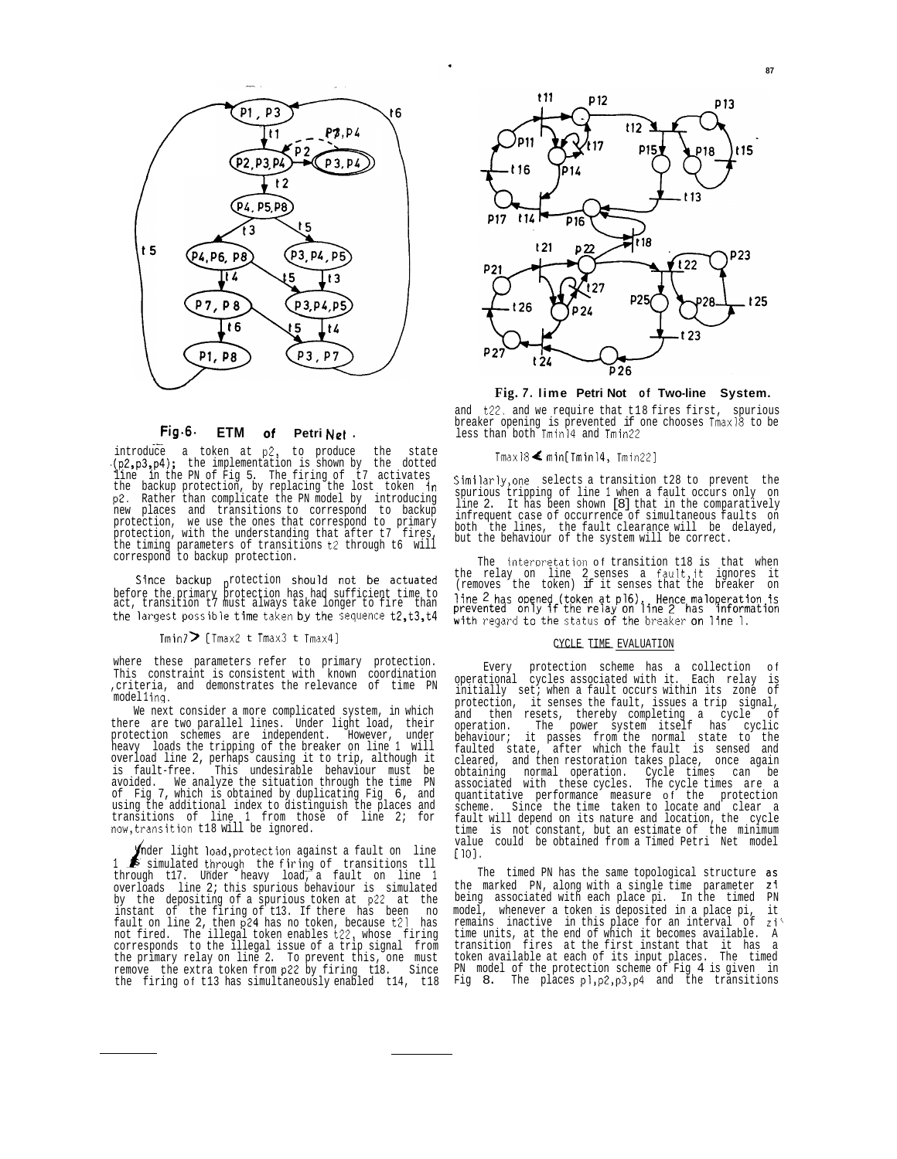

introduce a token at p2, to produce the state .(pZ,p3?p4); the implementation is shown by the dotted line in the PN of Fig 5. The firing of t7 activates the backup protection, by replacing the lost token in p2. Rather than complicate the PN model by introducing new places and transitions to correspond to backup protection, we use the ones that correspond to primary protection, with the understanding that after t7 fires,<br>the timing parameters of transitions t2 through t6 will

where these parameters refer to primary protection. This constraint is consistent with known coordination ,criteria, and demonstrates the relevance of time PN model 1 ing.

We next consider a more complicated system, in which there are two parallel lines. Under light load, their protection schemes are independent. However, under heavy loads the tripping of the breaker on line 1 will overload line 2, perhaps causing it to trip, although it is fault-free. This undesirable behaviour must be avoided. We analyze the situation through the time PN of Fig 7, which is obtained by duplicating Fig 6, and using the additional index to distinguish the places and transitions of line 1 from those of line 2; for now,transition t18 will be ignored.

**Thder light load, protection against a fault on line** is simulated through the firing of transitions tll through t17. Under heavy load, a fault on line 1 overloads line 2; this spurious behaviour is simulated by the depositing of a spurious token at p22 at the instant of the firing of t13. If there has been no fault on line 2, then  $\tilde{p}$ 24 has no token, because t21 has not fired. The illegal token enables t22, whose firing corresponds to the illegal issue of a trip signal from the primary relay on line 2. To prevent this, one must<br>remove the extra token from p22 by firing t18. Since<br>the firing of t13 has simultaneously enabled t14, t18



and t22. and we require that t18 fires first, spurious **Fig.6. ETM of PetriNet.**<br>Less than both Iminl4 and Imin22 . less than both Iminian and Imin22 ...

# Tmaxl8 *4* min[Tminl4, Tmin221

Similarly, one selects a transition t28 to prevent the spurious tripping of line 1 when a fault occurs only on line 2. It has been shown [8] that in the comparatively infrequent case of occurrence of simultaneous faults on both the lines, the fault clearance will be delayed, but the behaviour of the system will be correct.

correspond to backup protection. The interpretation of transition t18 is that when Since backup protection should not be actuated the relay on line 2 senses a fault, it ignores it<br>before the primary protection has had sufficient time to inne 2 has onened (token at n16). Hence maloneration is act, transition t7 must always take longer to fire than prevented only if the relay on line has information the largest possible time taken by the sequence  $t2, t3, t4$  with regard to the status of the breaker on line 1. CYCLE TIME EVALUATION Tmin77 [TmaxZ t Tmax3 t Tmax41 --

Every protection scheme has a collection of operational cycles associated with it. Each relay is initially set; when a fault occurs within its zone of protection, it senses the fault, issues a trip signal,<br>and then resets, thereby completing a cycle of and then resets, thereby completing a cycle of operation. The power system itself has cyclic behaviour; it passes from the normal state to the faulted state, after which the fault is sensed and cleared, and then restoration takes place, once again obtaining normal operation. Cycle times can be associated with these cycles. The cycle times are a quantitative performance measure of the protection scheme. Since the time taken to locate and clear a fault will depend on its nature and location, the cycle time is not constant, but an estimate of the minimum value could be obtained from a Timed Petri Net model [lo].

The timed PN has the same topological structure as<br>the marked PN, along with a single time parameter zi the marked PN, along with a single time parameter  $\frac{1}{2}$ . model, whenever a token is deposited in a place pi, it<br>remains inactive in this place for an interval of zi remains inactive in this place for an interval of zitime units, at the end of which it becomes available. A time units, at the end of which it becomes available. transition fires at the first instant that it has a token available at each of its input places. The timed PN model of the protection scheme of Fig 4 is given in<br>Fig 8. The places pl,p2,p3,p4 and the transitions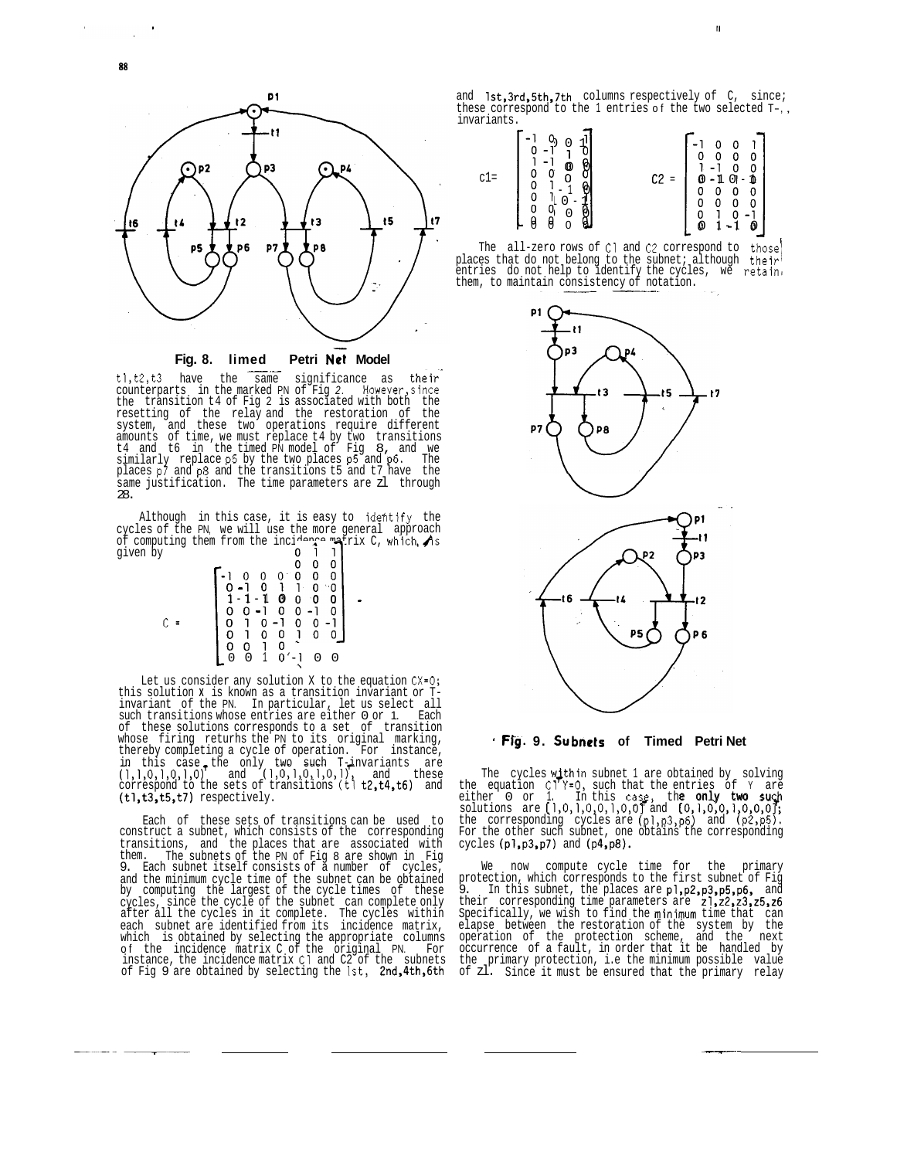

tl,t2,t3 have the same significance as their-counterparts in the marked PN of Fig *2.* However,since the transition  $t4$  of Fig 2 is associated with both resetting of the relay and the restoration of the system, and these two operations require different spector, and chose two obecauses tequine  $\frac{1}{2}$  amounts of time, we must replace t4 by two transitions t4 and t6 in the timed PN model of Fig 8, and we t4 and t6 in the timed PN model of Fig 8, and we similarly replace p5 by the two places p5 and p6. The places p7 and p8 and the transitions t5 and t7 have the pame justification. The time parameters are zl through 28. the same

Although in this case, it is easy to identify the cycles of the PN, we will use the more general approach given by

| given by | of computing them from the incidence matrix C, which as |                                      |  |
|----------|---------------------------------------------------------|--------------------------------------|--|
|          |                                                         | 0<br>$\overline{0}$ .<br>$\mathbf 0$ |  |
|          | ·1 0<br>0 -1<br>$\int_{0}^{0}$                          | $-1$<br>0<br>۰0<br>0<br>۰0           |  |
|          |                                                         |                                      |  |
|          |                                                         |                                      |  |
|          |                                                         |                                      |  |

Let us consider any solution X to the equation CX=O; this solution **X** is known as a transition invariant or T- invariant of the PN. In particular, let us select all such transitions whose entries are either 0 or 1. Each of these solutions corresponds to a set of transition whose firing returhs the PN to its original marking, thereby completing a cycle of operation. For instance, in this case the only two such T-invariants are (l,l,O,l,O,l,O~ and (l,O,l,O,l,O,l~, and these correspond to the sets of transitions (tl t2,t4,t6) and (tl,t3,t5,t7) respectively.

Each of these sets of transitions can be used to construct a subnet, which consists of the corresponding transitions, and the places that are associated with them. The subnets of the PN of Fig 8 are shown in Fig<br>9. Each subnet itself consists of a number of cycles, Each subnet itself consists of a number of cycles, and the minimum cycle time of the subnet can be obtained by computing the largest of the cycle times of these cycles, since the cycle of the subnet can complete only after all the cycles in it complete. The cycles within each subnet are identified from its incidence matrix, which is obtained by selecting the appropriate columns of the incidence matrix C of the original PN. For instance, the incidence matrix C1 and C2 of the subnets of Fig 9 are obtained by selecting the lst, 2nd,4th,6th

and **1st,3rd,5th,7th** columns respectively of C, since; these correspond to the 1 entries of the two selected T-, , invariants.

 $\mathbf{u}$ 



The all-zero rows of C1 and C2 correspond to those places that do not belong to the subnet; although their' entries do not help to identify the cycles, we retain, them, to maintain consistency of notation.



**Fig. 9. Subnets of Timed Petri Net** 

The cycles within subnet 1 are obtained by solving<br>the equation  $C1'Y=0$ , such that the entries of Y are<br>either 0 or 1. In this case, the **only two such**<br>solutions are  $[1,0,1,0,0,1,0,0]$  and  $[0,1,0,0,1,0,0,0]$ ;<br>the corr cycles  $(p1,p3,p7)$  and  $(p4,p8)$ .

We now compute cycle time for the primary protection, which corresponds to the first subnet of Fig 9. In this subnet, the places are pl, p2, p3, p5, p6, and their corresponding time parameters are zl,z2,z3,z5,z6 Specifically, we wish to find the minimum time that can elapse between the restoration of the system by the operation of the protection scheme, and the next occurrence of a fault, in order that it be handled by the primary protection, i.e the minimum possible value of zl. Since it must be ensured that the primary relay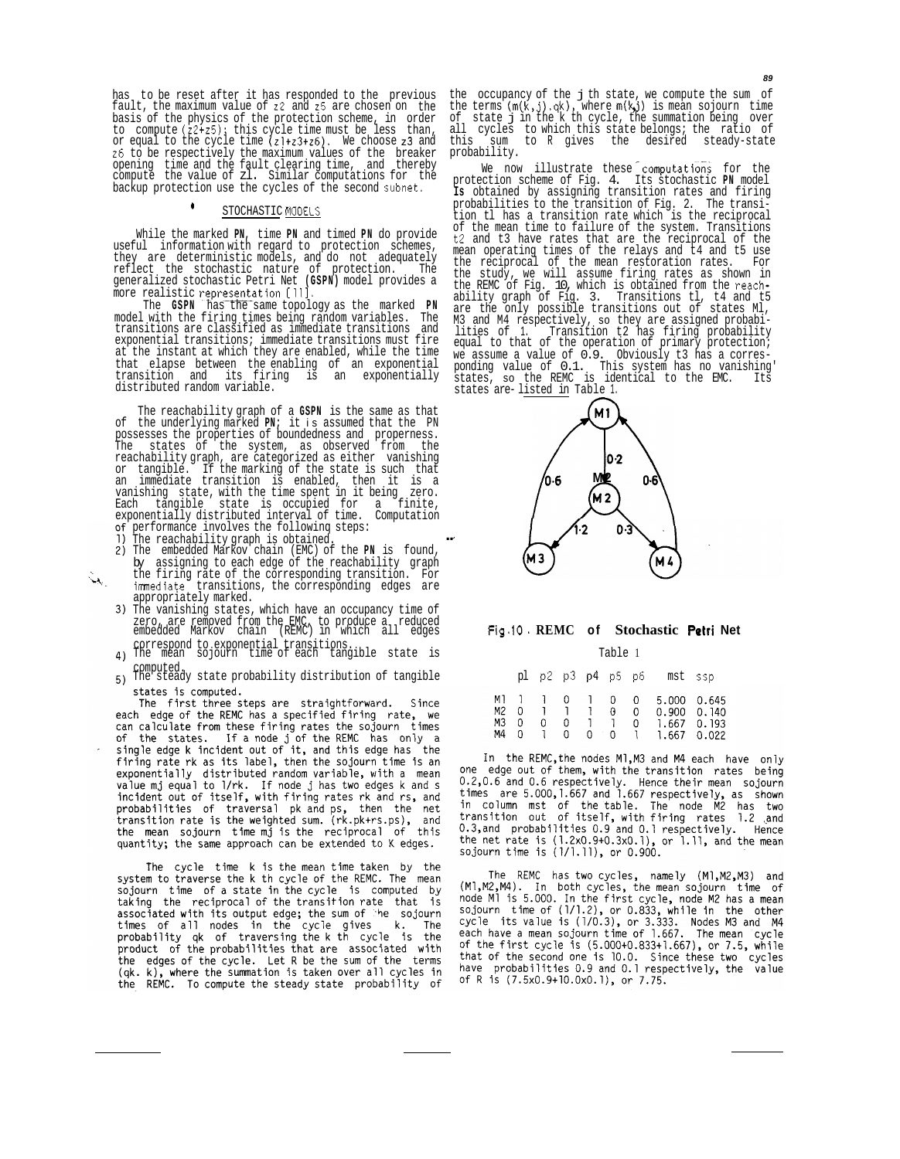has to be reset after it has responded to the previous fault, the maximum value of z2 and z5 are chosen on the basis of the physics of the protection scheme, in order to compute (z2tz5); this cycle time must be less than, or equal to the cycle time (zltz3tz6). We choose 23 and 26 to be respectively the maximum values of the breaker opening time and the fault clearing time, and thereby compute the value of zl. Similar computations for the backup protection use the cycles of the second subnet.

### STOCHASTIC MODELS

While the marked **PN,** time **PN** and timed **PN** do provide useful information with regard to protection schemes, they are deterministic models, and do not adequately reflect the stochastic nature of protection. The generalized stochastic Petri Net (GSPN) model provides a more realistic representation [ll].

The **GSPN** has the same topology as the marked **PN**  model with the firing times being random variables. The transitions are classified as immediate transitions and exponential transitions; immediate transitions must fire at the instant at which they are enabled, while the time that elapse between the enabling of an exponential transition and its firing is an exponentially distributed random variable.

The reachability graph of a **GSPN** is the same as that of the underlying marked **PN;** it is assumed that the PN possesses the properties of boundedness and properness. The states of the system, as observed from the reachability graph, are categorized as either vanishing reachability graph, are categorized as either vanishing<br>or tangible. If the marking of the state is such that<br>an immediate transition is enabled, then it is a<br>vanishing state, with the time spent in it being zero.<br>Each tan exponentially distributed interval of time. Computation performance involves the followinq steps: The reachability graph is obtained. .. '

 $\mathbb{Z}_{\mathbb{Z}_p}$ 

- The embedded Markov chain (EMC) of the **PN** is found, by assigning to each edge of the reachability graph the firing rate of the corresponding transition. For immediate transitions, the corresponding edges are appropriately marked.
- 3) The vanishing states, which have an occupancy time of zero, are removed from the EMC, to produce a reduced embedded Markov chain (REMC) in which all edges **Fig.10. REMC of Stochastic Petri Net**
- correspond to exponential transitions.<br>The mean sojourn time of each tangible state is Table 1  $\Delta$
- computed.<br>The steady state probability distribution of tangible  $5)$ states is computed.

The first three steps are straightforward. Since each edge of the REMC has a specified firing rate, we can calculate from these firing rates the sojourn times of the states. If a node j of the REMC has only a<br>single edge k incident out of it, and this edge has the firing rate rk as its label, then the sojourn time is an exponentially distributed random variable, with a mean<br>value mj equal to 1/rk. If node j has two edges k and s<br>incident out of itself, with firing rates rk and rs, and probabilities of traversal pk and ps, then the net transition rate is the weighted sum. (rk.pk+rs.ps), and<br>the mean sojourn time mj is the reciprocal of this quantity; the same approach can be extended to K edges.

The cycle time k is the mean time taken by the system to traverse the k th cycle of the REMC. The mean sojourn time of a state in the cycle is computed by<br>taking the reciprocal of the transition rate that is associated with its output edge; the sum of the sojourn times of all nodes in the cycle gives k. The<br>probability qk of traversing the k th cycle is the<br>product of the probabilities that are associated with times of all nodes in the cycle gives the edges of the cycle. Let R be the sum of the terms  $(qk. k)$ , where the summation is taken over all cycles in the REMC. To compute the steady state probability of

the occupancy of the j th state, we compute the sum of the terms  $(m(k,j),qk)$ , where  $m(k,j)$  is mean sojourn time of state j in the k th cycle, the summation being over all cycles to which this state belongs; the ratio of this sum to R gives the desired steady-state probability.

We now illustrate these computations for the protection scheme of Fig. 4. Its stochastic **PN** model **Is** obtained by assigning transition rates and firing probabilities to the transition of Fig. 2. The transi- tion tl has a transition rate which is the reciprocal of the mean time to failure of the system. Transitions t2 and t3 have rates that are the reciprocal of the mean operating times of the relays and t4 and t5 use the reciprocal of the mean restoration rates. For the study, we will assume firing rates as shown in the REMC of Fig. 10, which is obtained from the reach-ability graph of Fig. 3. Transitions tl, t4 and t5 are the only possible transitions out of states Ml, M3 and M4 respectively, so they are assigned probabi-<br>lities of 1. Transition t2 has firing probability<br>equal to that of the operation of primary protection; equal to that of the operation of primary protection;<br>we assume a value of 0.9. Obviously t3 has a corres-<br>ponding value of 0.1. This system has no vanishing'<br>states, so the REMC is identical to the EMC. Its ability graph of Fig. 3. Transitions tl, t4 and<br>are the only possible transitions out of states M<br>
M3 and M4 respectively, so they are assigned probabil<br>
legual to that of the operation of primary protection<br>
we assume a v



|      |      |                                   |   | pl p2 p3 p4 p5 p6 |                                                                                  | mst ssp |
|------|------|-----------------------------------|---|-------------------|----------------------------------------------------------------------------------|---------|
| M3 O | M2 O | $\mathbf{1}$<br>$0\quad 0\quad 1$ | 0 | 0                 | M1 1 1 0 1 0 0 5.000 0.645<br>$0.900 \quad 0.140$<br>$0 \quad 1.667 \quad 0.193$ |         |
|      | M40  |                                   |   |                   | 1 0 0 0 1 1.667 0.022                                                            |         |

In the REMC, the nodes M1, M3 and M4 each have only one edge out of them, with the transition rates being one euge out or them, with the transition rates being<br>0.2,0.6 and 0.6 respectively. Hence their mean sojourn<br>times are 5.000,1.667 and 1.667 respectively, as shown<br>in column mst of the table. The node M2 has two<br>transition 0.3, and probabilities 0.9 and 0.1 respectively. Hence the net rate is  $(1.2 \times 0.9 + 0.3 \times 0.1)$ , or 1.11, and the mean sojourn time is (1/1.11), or 0.900.

The REMC has two cycles, namely (M1, M2, M3) and (M1, M2, M4). In both cycles, the mean sojourn time of node M1 is 5.000. In the first cycle, node M2 has a mean<br>sojourn time of (1/1.2), or 0.833, while in the other by cle its value is  $(1/0.3)$ , or 3.333. Nodes M3 and M4<br>each have a mean sojourn time of 1.667. The mean cycle<br>of the first cycle is  $(5.000+0.833+1.667)$ , or 7.5, while that of the second one is 10.0. Since these two cycles<br>have probabilities 0.9 and 0.1 respectively, the value<br>of R is  $(7.5 \times 0.9 + 10.0 \times 0.1)$ , or 7.75.